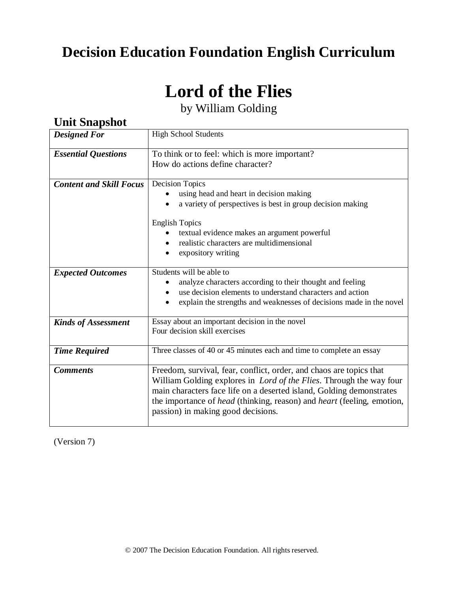## **Decision Education Foundation English Curriculum**

# **Lord of the Flies**

by William Golding

| ошт оширяют                    |                                                                                      |  |  |
|--------------------------------|--------------------------------------------------------------------------------------|--|--|
| <b>Designed For</b>            | <b>High School Students</b>                                                          |  |  |
| <b>Essential Questions</b>     | To think or to feel: which is more important?                                        |  |  |
|                                | How do actions define character?                                                     |  |  |
|                                |                                                                                      |  |  |
| <b>Content and Skill Focus</b> | <b>Decision Topics</b>                                                               |  |  |
|                                | using head and heart in decision making                                              |  |  |
|                                | a variety of perspectives is best in group decision making                           |  |  |
|                                |                                                                                      |  |  |
|                                | <b>English Topics</b>                                                                |  |  |
|                                | textual evidence makes an argument powerful                                          |  |  |
|                                | realistic characters are multidimensional                                            |  |  |
|                                | expository writing                                                                   |  |  |
|                                |                                                                                      |  |  |
| <b>Expected Outcomes</b>       | Students will be able to                                                             |  |  |
|                                | analyze characters according to their thought and feeling                            |  |  |
|                                | use decision elements to understand characters and action                            |  |  |
|                                | explain the strengths and weaknesses of decisions made in the novel                  |  |  |
|                                |                                                                                      |  |  |
| <b>Kinds of Assessment</b>     | Essay about an important decision in the novel                                       |  |  |
|                                | Four decision skill exercises                                                        |  |  |
|                                |                                                                                      |  |  |
| <b>Time Required</b>           | Three classes of 40 or 45 minutes each and time to complete an essay                 |  |  |
|                                |                                                                                      |  |  |
| <b>Comments</b>                | Freedom, survival, fear, conflict, order, and chaos are topics that                  |  |  |
|                                | William Golding explores in <i>Lord of the Flies</i> . Through the way four          |  |  |
|                                | main characters face life on a deserted island, Golding demonstrates                 |  |  |
|                                | the importance of <i>head</i> (thinking, reason) and <i>heart</i> (feeling, emotion, |  |  |
|                                | passion) in making good decisions.                                                   |  |  |
|                                |                                                                                      |  |  |

(Version 7)

*Unit Snanshot*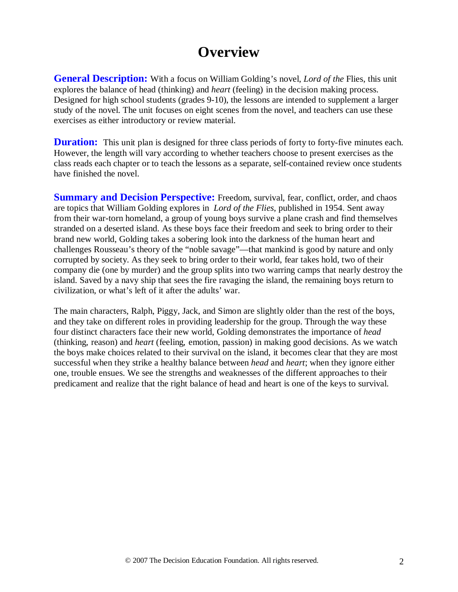## **Overview**

**General Description:** With a focus on William Golding's novel, *Lord of the* Flies, this unit explores the balance of head (thinking) and *heart* (feeling) in the decision making process. Designed for high school students (grades 9-10), the lessons are intended to supplement a larger study of the novel. The unit focuses on eight scenes from the novel, and teachers can use these exercises as either introductory or review material.

**Duration:** This unit plan is designed for three class periods of forty to forty-five minutes each. However, the length will vary according to whether teachers choose to present exercises as the class reads each chapter or to teach the lessons as a separate, self-contained review once students have finished the novel.

**Summary and Decision Perspective:** Freedom, survival, fear, conflict, order, and chaos are topics that William Golding explores in *Lord of the Flies*, published in 1954. Sent away from their war-torn homeland, a group of young boys survive a plane crash and find themselves stranded on a deserted island. As these boys face their freedom and seek to bring order to their brand new world, Golding takes a sobering look into the darkness of the human heart and challenges Rousseau's theory of the "noble savage"—that mankind is good by nature and only corrupted by society. As they seek to bring order to their world, fear takes hold, two of their company die (one by murder) and the group splits into two warring camps that nearly destroy the island. Saved by a navy ship that sees the fire ravaging the island, the remaining boys return to civilization, or what's left of it after the adults' war.

The main characters, Ralph, Piggy, Jack, and Simon are slightly older than the rest of the boys, and they take on different roles in providing leadership for the group. Through the way these four distinct characters face their new world, Golding demonstrates the importance of *head*  (thinking, reason) and *heart* (feeling, emotion, passion) in making good decisions. As we watch the boys make choices related to their survival on the island, it becomes clear that they are most successful when they strike a healthy balance between *head* and *heart*; when they ignore either one, trouble ensues. We see the strengths and weaknesses of the different approaches to their predicament and realize that the right balance of head and heart is one of the keys to survival.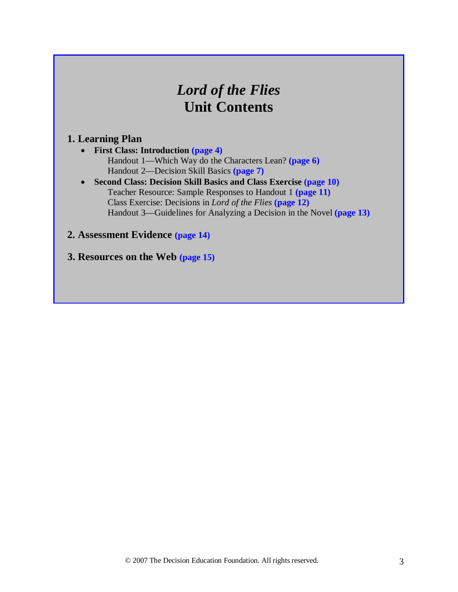## *Lord of the Flies* **Unit Contents**

#### **1. Learning Plan**

- **First Class: Introduction (page 4)** Handout 1—Which Way do the Characters Lean? **(page 6)** Handout 2—Decision Skill Basics **(page 7)**
- **Second Class: Decision Skill Basics and Class Exercise (page 10)** Teacher Resource: Sample Responses to Handout 1 **(page 11)** Class Exercise: Decisions in *Lord of the Flies* **(page 12)** Handout 3—Guidelines for Analyzing a Decision in the Novel **(page 13)**

#### **2. Assessment Evidence (page 14)**

**3. Resources on the Web (page 15)**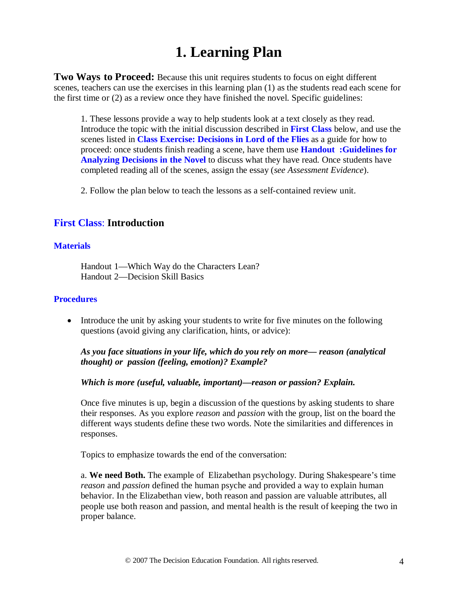## **1. Learning Plan**

**Two Ways to Proceed:** Because this unit requires students to focus on eight different scenes, teachers can use the exercises in this learning plan (1) as the students read each scene for the first time or (2) as a review once they have finished the novel. Specific guidelines:

1. These lessons provide a way to help students look at a text closely as they read. Introduce the topic with the initial discussion described in **First Class** below, and use the scenes listed in **Class Exercise: Decisions in Lord of the Flies** as a guide for how to proceed: once students finish reading a scene, have them use **Handout :Guidelines for Analyzing Decisions in the Novel** to discuss what they have read. Once students have completed reading all of the scenes, assign the essay (*see Assessment Evidence*).

2. Follow the plan below to teach the lessons as a self-contained review unit.

#### **First Class**: **Introduction**

#### **Materials**

Handout 1—Which Way do the Characters Lean? Handout 2—Decision Skill Basics

#### **Procedures**

• Introduce the unit by asking your students to write for five minutes on the following questions (avoid giving any clarification, hints, or advice):

*As you face situations in your life, which do you rely on more— reason (analytical thought) or passion (feeling, emotion)? Example?*

#### *Which is more (useful, valuable, important)—reason or passion? Explain.*

Once five minutes is up, begin a discussion of the questions by asking students to share their responses. As you explore *reason* and *passion* with the group, list on the board the different ways students define these two words. Note the similarities and differences in responses.

Topics to emphasize towards the end of the conversation:

a. **We need Both.** The example of Elizabethan psychology. During Shakespeare's time *reason* and *passion* defined the human psyche and provided a way to explain human behavior. In the Elizabethan view, both reason and passion are valuable attributes, all people use both reason and passion, and mental health is the result of keeping the two in proper balance.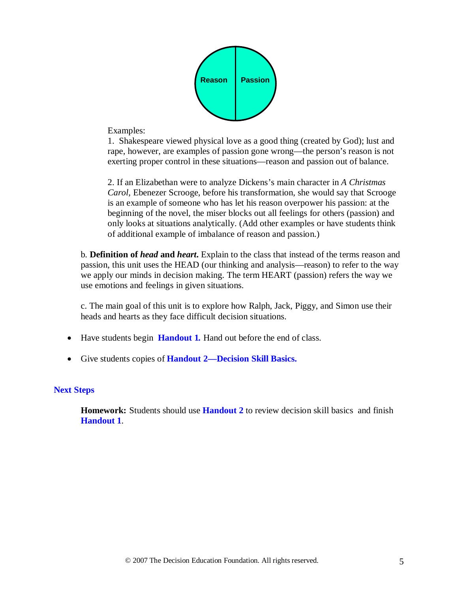

Examples:

1. Shakespeare viewed physical love as a good thing (created by God); lust and rape, however, are examples of passion gone wrong—the person's reason is not exerting proper control in these situations—reason and passion out of balance.

2. If an Elizabethan were to analyze Dickens's main character in *A Christmas Carol,* Ebenezer Scrooge, before his transformation, she would say that Scrooge is an example of someone who has let his reason overpower his passion: at the beginning of the novel*,* the miser blocks out all feelings for others (passion) and only looks at situations analytically. (Add other examples or have students think of additional example of imbalance of reason and passion.)

b. **Definition of** *head* **and** *heart***.** Explain to the class that instead of the terms reason and passion, this unit uses the HEAD (our thinking and analysis—reason) to refer to the way we apply our minds in decision making. The term HEART (passion) refers the way we use emotions and feelings in given situations.

c. The main goal of this unit is to explore how Ralph, Jack, Piggy, and Simon use their heads and hearts as they face difficult decision situations.

- Have students begin **Handout 1.** Hand out before the end of class.
- Give students copies of **Handout 2—Decision Skill Basics.**

#### **Next Steps**

**Homework:** Students should use **Handout 2** to review decision skill basics and finish **Handout 1**.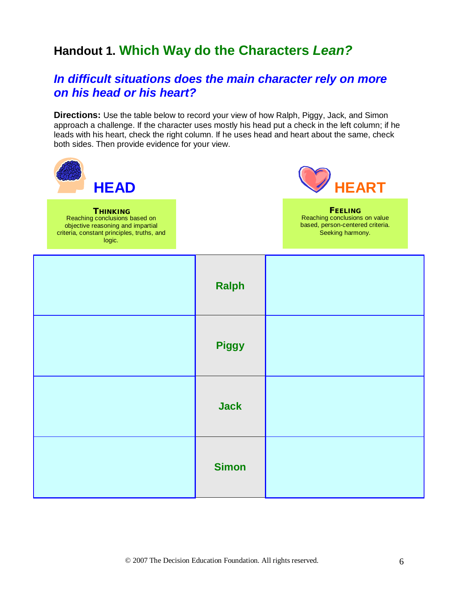## **Handout 1. Which Way do the Characters** *Lean?*

### *In difficult situations does the main character rely on more on his head or his heart?*

**Directions:** Use the table below to record your view of how Ralph, Piggy, Jack, and Simon approach a challenge. If the character uses mostly his head put a check in the left column; if he leads with his heart, check the right column. If he uses head and heart about the same, check both sides. Then provide evidence for your view.

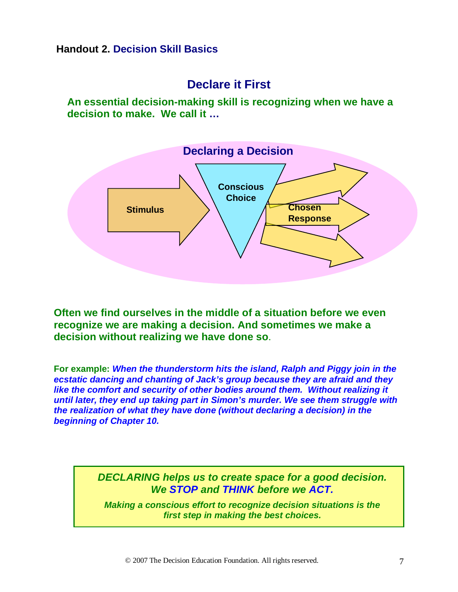#### **Handout 2. Decision Skill Basics**

### **Declare it First**

**An essential decision-making skill is recognizing when we have a decision to make. We call it …**



**Often we find ourselves in the middle of a situation before we even recognize we are making a decision. And sometimes we make a decision without realizing we have done so**.

**For example:** *When the thunderstorm hits the island, Ralph and Piggy join in the ecstatic dancing and chanting of Jack's group because they are afraid and they like the comfort and security of other bodies around them. Without realizing it until later, they end up taking part in Simon's murder. We see them struggle with the realization of what they have done (without declaring a decision) in the beginning of Chapter 10.*

> *DECLARING helps us to create space for a good decision. We STOP and THINK before we ACT.*

*Making a conscious effort to recognize decision situations is the first step in making the best choices.*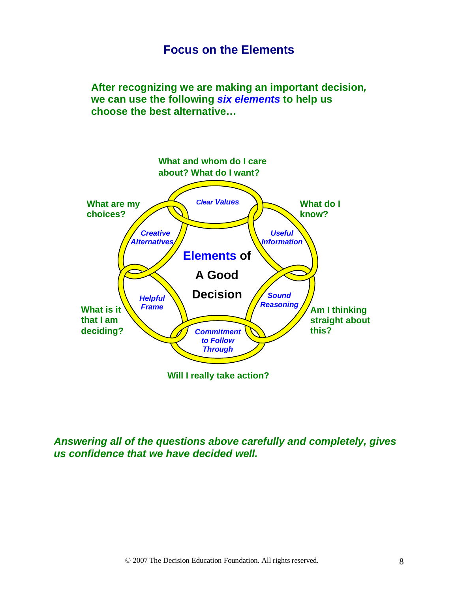### **Focus on the Elements**

**After recognizing we are making an important decision***,* **we can use the following** *six elements* **to help us choose the best alternative…**



*Answering all of the questions above carefully and completely, gives us confidence that we have decided well.*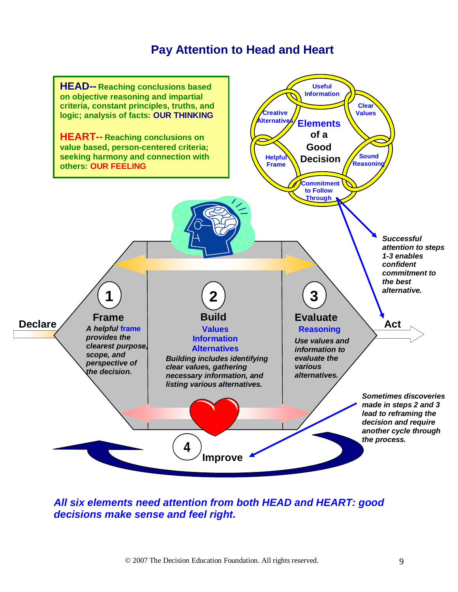### **Pay Attention to Head and Heart**



*All six elements need attention from both HEAD and HEART: good decisions make sense and feel right.*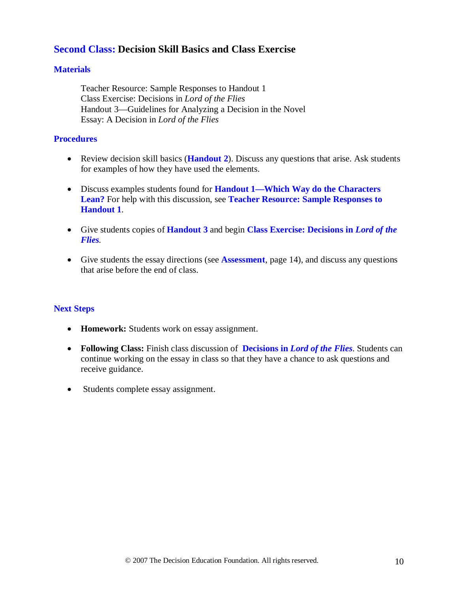#### **Second Class: Decision Skill Basics and Class Exercise**

#### **Materials**

Teacher Resource: Sample Responses to Handout 1 Class Exercise: Decisions in *Lord of the Flies*  Handout 3—Guidelines for Analyzing a Decision in the Novel Essay: A Decision in *Lord of the Flies*

#### **Procedures**

- Review decision skill basics (**Handout 2**). Discuss any questions that arise. Ask students for examples of how they have used the elements.
- Discuss examples students found for **Handout 1—Which Way do the Characters Lean?** For help with this discussion, see **Teacher Resource: Sample Responses to Handout 1**.
- Give students copies of **Handout 3** and begin **Class Exercise: Decisions in** *Lord of the Flies.*
- Give students the essay directions (see **Assessment**, page 14), and discuss any questions that arise before the end of class.

#### **Next Steps**

- **Homework:** Students work on essay assignment.
- **Following Class:** Finish class discussion of **Decisions in** *Lord of the Flies*. Students can continue working on the essay in class so that they have a chance to ask questions and receive guidance.
- Students complete essay assignment.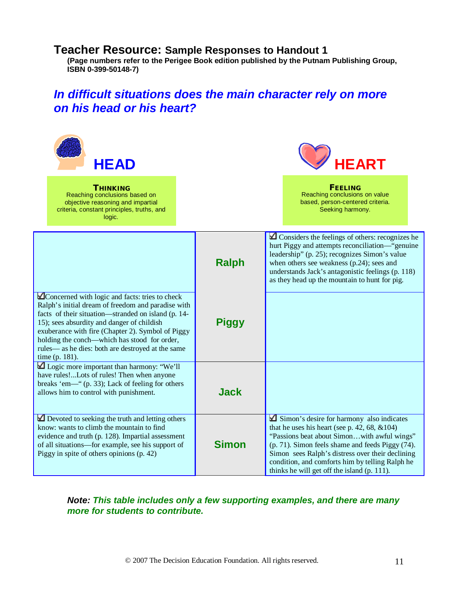#### **Teacher Resource: Sample Responses to Handout 1**

**(Page numbers refer to the Perigee Book edition published by the Putnam Publishing Group, ISBN 0-399-50148-7)**

### *In difficult situations does the main character rely on more on his head or his heart?*



**THINKING** Reaching conclusions based on objective reasoning and impartial criteria, constant principles, truths, and logic.



FEELING Reaching conclusions on value based, person-centered criteria. Seeking harmony.

|                                                                                                                                                                                                                                                                                                                                                                                        | <b>Ralph</b> | $\Box$ Considers the feelings of others: recognizes he<br>hurt Piggy and attempts reconciliation-"genuine<br>leadership" (p. 25); recognizes Simon's value<br>when others see weakness (p.24); sees and<br>understands Jack's antagonistic feelings (p. 118)<br>as they head up the mountain to hunt for pig.                                         |  |
|----------------------------------------------------------------------------------------------------------------------------------------------------------------------------------------------------------------------------------------------------------------------------------------------------------------------------------------------------------------------------------------|--------------|-------------------------------------------------------------------------------------------------------------------------------------------------------------------------------------------------------------------------------------------------------------------------------------------------------------------------------------------------------|--|
| ■Concerned with logic and facts: tries to check<br>Ralph's initial dream of freedom and paradise with<br>facts of their situation—stranded on island (p. 14-<br>15); sees absurdity and danger of childish<br>exuberance with fire (Chapter 2). Symbol of Piggy<br>holding the conch—which has stood for order,<br>rules— as he dies: both are destroyed at the same<br>time (p. 181). | <b>Piggy</b> |                                                                                                                                                                                                                                                                                                                                                       |  |
| $\triangle$ Logic more important than harmony: "We'll<br>have rules!Lots of rules! Then when anyone<br>breaks 'em—" (p. 33); Lack of feeling for others<br>allows him to control with punishment.                                                                                                                                                                                      | <b>Jack</b>  |                                                                                                                                                                                                                                                                                                                                                       |  |
| Devoted to seeking the truth and letting others<br>know: wants to climb the mountain to find<br>evidence and truth (p. 128). Impartial assessment<br>of all situations-for example, see his support of<br>Piggy in spite of others opinions (p. 42)                                                                                                                                    | <b>Simon</b> | Simon's desire for harmony also indicates<br>that he uses his heart (see p. 42, 68, $&104$ )<br>"Passions beat about Simonwith awful wings"<br>(p. 71). Simon feels shame and feeds Piggy (74).<br>Simon sees Ralph's distress over their declining<br>condition, and comforts him by telling Ralph he<br>thinks he will get off the island (p. 111). |  |

*Note: This table includes only a few supporting examples, and there are many more for students to contribute.*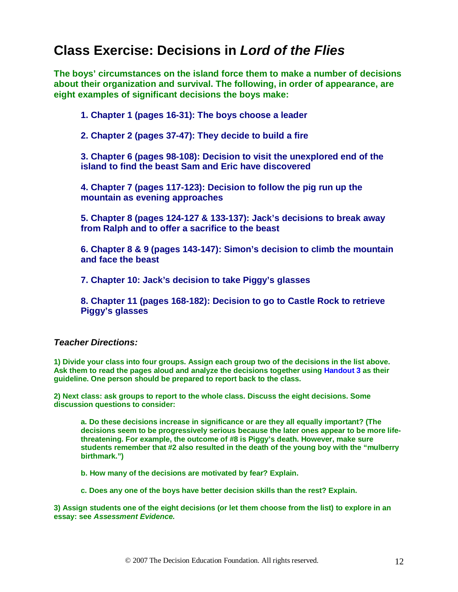## **Class Exercise: Decisions in** *Lord of the Flies*

**The boys' circumstances on the island force them to make a number of decisions about their organization and survival. The following, in order of appearance, are eight examples of significant decisions the boys make:**

**1. Chapter 1 (pages 16-31): The boys choose a leader**

**2. Chapter 2 (pages 37-47): They decide to build a fire**

**3. Chapter 6 (pages 98-108): Decision to visit the unexplored end of the island to find the beast Sam and Eric have discovered**

**4. Chapter 7 (pages 117-123): Decision to follow the pig run up the mountain as evening approaches**

**5. Chapter 8 (pages 124-127 & 133-137): Jack's decisions to break away from Ralph and to offer a sacrifice to the beast**

**6. Chapter 8 & 9 (pages 143-147): Simon's decision to climb the mountain and face the beast**

**7. Chapter 10: Jack's decision to take Piggy's glasses**

**8. Chapter 11 (pages 168-182): Decision to go to Castle Rock to retrieve Piggy's glasses** 

#### *Teacher Directions:*

**1) Divide your class into four groups. Assign each group two of the decisions in the list above. Ask them to read the pages aloud and analyze the decisions together using Handout 3 as their guideline. One person should be prepared to report back to the class.**

**2) Next class: ask groups to report to the whole class. Discuss the eight decisions. Some discussion questions to consider:**

**a. Do these decisions increase in significance or are they all equally important? (The decisions seem to be progressively serious because the later ones appear to be more lifethreatening. For example, the outcome of #8 is Piggy's death. However, make sure students remember that #2 also resulted in the death of the young boy with the "mulberry birthmark.")**

**b. How many of the decisions are motivated by fear? Explain.**

**c. Does any one of the boys have better decision skills than the rest? Explain.**

**3) Assign students one of the eight decisions (or let them choose from the list) to explore in an essay: see** *Assessment Evidence.*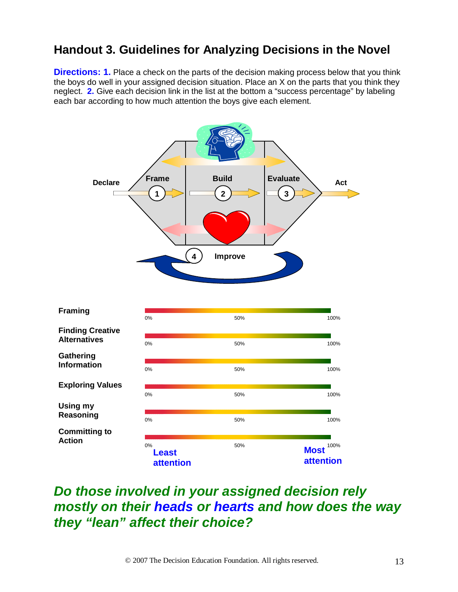### **Handout 3. Guidelines for Analyzing Decisions in the Novel**

**Directions: 1.** Place a check on the parts of the decision making process below that you think the boys do well in your assigned decision situation. Place an X on the parts that you think they neglect. **2.** Give each decision link in the list at the bottom a "success percentage" by labeling each bar according to how much attention the boys give each element.



## *Do those involved in your assigned decision rely mostly on their heads or hearts and how does the way they "lean" affect their choice?*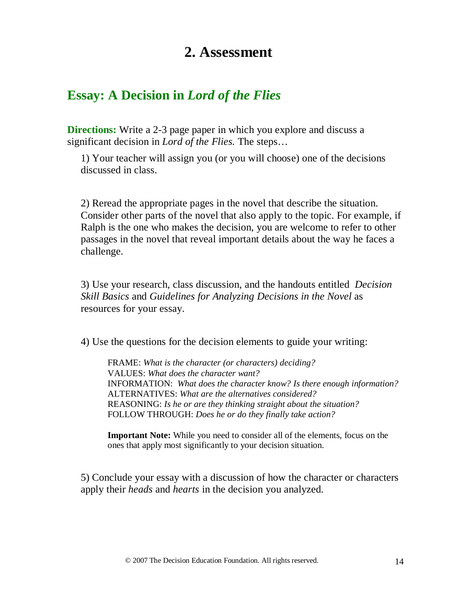## **2. Assessment**

### **Essay: A Decision in** *Lord of the Flies*

**Directions:** Write a 2-3 page paper in which you explore and discuss a significant decision in *Lord of the Flies.* The steps…

1) Your teacher will assign you (or you will choose) one of the decisions discussed in class.

2) Reread the appropriate pages in the novel that describe the situation. Consider other parts of the novel that also apply to the topic. For example, if Ralph is the one who makes the decision, you are welcome to refer to other passages in the novel that reveal important details about the way he faces a challenge.

3) Use your research, class discussion, and the handouts entitled *Decision Skill Basics* and *Guidelines for Analyzing Decisions in the Novel* as resources for your essay.

4) Use the questions for the decision elements to guide your writing:

FRAME: *What is the character (or characters) deciding?* VALUES: *What does the character want?*  INFORMATION: *What does the character know? Is there enough information?* ALTERNATIVES: *What are the alternatives considered?* REASONING: *Is he or are they thinking straight about the situation?* FOLLOW THROUGH: *Does he or do they finally take action?*

**Important Note:** While you need to consider all of the elements, focus on the ones that apply most significantly to your decision situation.

5) Conclude your essay with a discussion of how the character or characters apply their *heads* and *hearts* in the decision you analyzed.